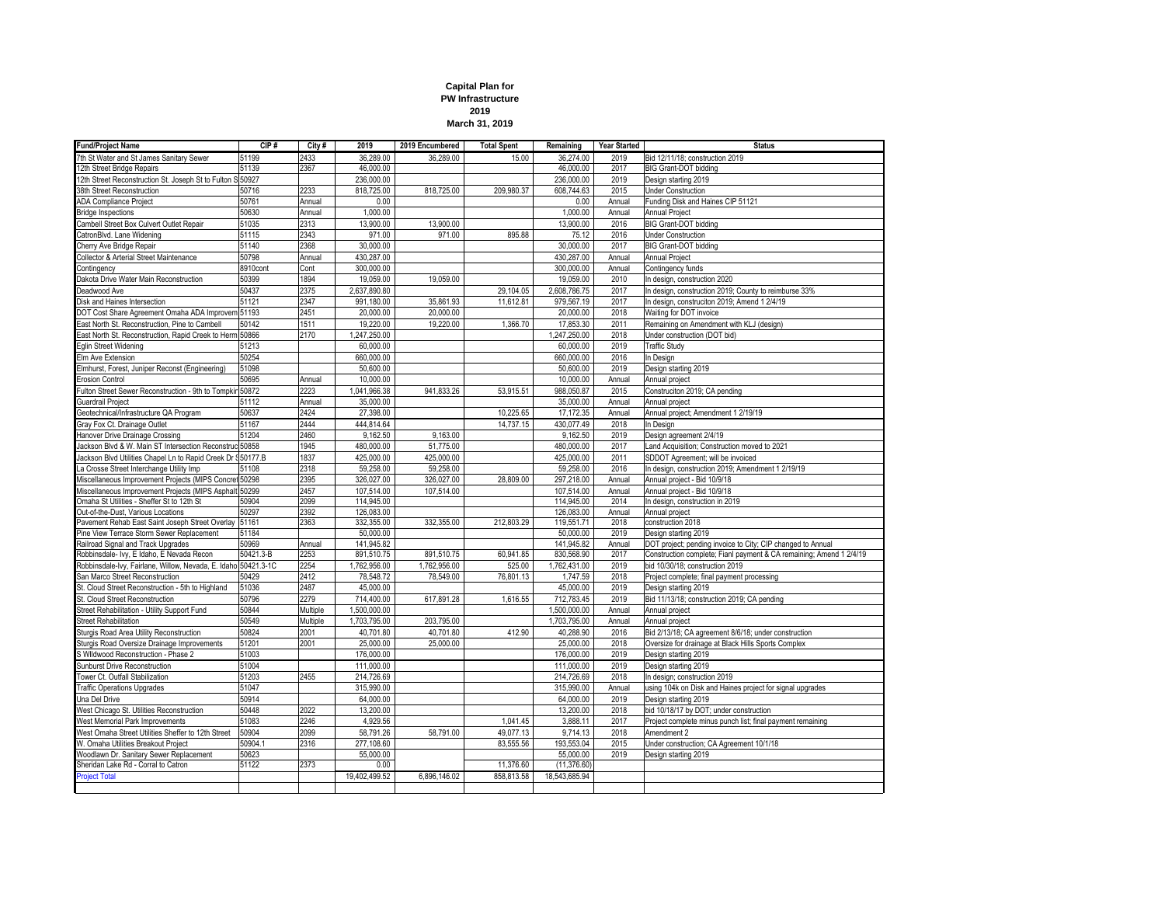

| <b>Fund/Project Name</b>                                       | CIP#           | City#    | 2019          | 2019 Encumbered | <b>Total Spent</b> | Remaining                 | <b>Year Started</b> | <b>Status</b>                                                       |
|----------------------------------------------------------------|----------------|----------|---------------|-----------------|--------------------|---------------------------|---------------------|---------------------------------------------------------------------|
| 7th St Water and St James Sanitary Sewer                       | 51199          | 2433     | 36,289.00     | 36,289.00       | 15.00              | 36,274.00                 | 2019                | Bid 12/11/18; construction 2019                                     |
| 12th Street Bridge Repairs                                     | 51139          | 2367     | 46,000.00     |                 |                    | 46.000.00                 | 2017                | <b>BIG Grant-DOT bidding</b>                                        |
| 12th Street Reconstruction St. Joseph St to Fulton S 50927     |                |          | 236,000.00    |                 |                    | 236,000.00                | 2019                | Design starting 2019                                                |
| 38th Street Reconstruction                                     | 50716          | 2233     | 818,725.00    | 818,725.00      | 209,980.37         | 608,744.63                | 2015                | <b>Under Construction</b>                                           |
| <b>ADA Compliance Project</b>                                  | 50761          | Annual   | 0.00          |                 |                    | 0.00                      | Annual              | Funding Disk and Haines CIP 51121                                   |
| <b>Bridge Inspections</b>                                      | 50630          | Annual   | 1,000.00      |                 |                    | 1,000.00                  | Annual              | Annual Project                                                      |
| Cambell Street Box Culvert Outlet Repair                       | 51035          | 2313     | 13,900.00     | 13,900.00       |                    | 13,900.00                 | 2016                | <b>BIG Grant-DOT bidding</b>                                        |
| CatronBlvd. Lane Widening                                      | 51115          | 2343     | 971.00        | 971.00          | 895.88             | 75.12                     | 2016                | <b>Under Construction</b>                                           |
| Cherry Ave Bridge Repair                                       | 51140          | 2368     | 30,000.00     |                 |                    | 30,000.00                 | 2017                | <b>BIG Grant-DOT bidding</b>                                        |
| Collector & Arterial Street Maintenance                        | 50798          | Annual   | 430,287.00    |                 |                    | 430,287.00                | Annual              | Annual Project                                                      |
| Contingency                                                    | 8910cont       | Cont     | 300,000.00    |                 |                    | 300,000.00                | Annual              | Contingency funds                                                   |
|                                                                | 50399          | 1894     | 19,059.00     |                 |                    | 19,059.00                 | 2010                |                                                                     |
| Dakota Drive Water Main Reconstruction                         |                |          |               | 19,059.00       |                    |                           |                     | In design, construction 2020                                        |
| Deadwood Ave                                                   | 50437          | 2375     | 2,637,890.80  |                 | 29,104.05          | 2,608,786.75              | 2017                | In design, construction 2019; County to reimburse 33%               |
| Disk and Haines Intersection                                   | 51121          | 2347     | 991,180.00    | 35,861.93       | 11,612.81          | 979,567.19                | 2017                | In design, construciton 2019; Amend 1 2/4/19                        |
| DOT Cost Share Agreement Omaha ADA Improvem 51193              |                | 2451     | 20,000.00     | 20.000.00       |                    | 20,000.00                 | 2018                | Waiting for DOT invoice                                             |
| East North St. Reconstruction, Pine to Cambell                 | 50142          | 1511     | 19,220.00     | 19,220.00       | 1,366.70           | 17,853.30                 | 2011                | Remaining on Amendment with KLJ (design)                            |
| East North St. Reconstruction, Rapid Creek to Herm 50866       |                | 2170     | 1,247,250.00  |                 |                    | 1,247,250.00              | 2018                | Under construction (DOT bid)                                        |
| Eglin Street Widening                                          | 51213          |          | 60,000.00     |                 |                    | 60,000.00                 | 2019                | <b>Traffic Study</b>                                                |
| Elm Ave Extension                                              | 50254          |          | 660,000.00    |                 |                    | 660,000.00                | 2016                | In Design                                                           |
| Elmhurst, Forest, Juniper Reconst (Engineering)                | 51098          |          | 50,600.00     |                 |                    | 50,600.00                 | 2019                | Design starting 2019                                                |
| <b>Erosion Control</b>                                         | 50695          | Annual   | 10,000.00     |                 |                    | 10,000.00                 | Annual              | Annual project                                                      |
| Fulton Street Sewer Reconstruction - 9th to Tompkin 50872      |                | 2223     | 1,041,966.38  | 941,833.26      | 53,915.51          | 988,050.87                | 2015                | Construciton 2019; CA pending                                       |
| Guardrail Project                                              | 51112          | Annual   | 35,000.00     |                 |                    | 35,000.00                 | Annual              | Annual project                                                      |
| Geotechnical/Infrastructure QA Program                         | 50637          | 2424     | 27,398.00     |                 | 10,225.65          | 17,172.35                 | Annual              | Annual project; Amendment 1 2/19/19                                 |
| Gray Fox Ct. Drainage Outlet                                   | 51167          | 2444     | 444,814.64    |                 | 14.737.15          | 430,077.49                | 2018                | In Desian                                                           |
| Hanover Drive Drainage Crossing                                | 51204          | 2460     | 9,162.50      | 9,163.00        |                    | 9,162.50                  | 2019                | Design agreement 2/4/19                                             |
| Jackson Blvd & W. Main ST Intersection Reconstruc 50858        |                | 1945     | 480,000.00    | 51,775.00       |                    | 480,000.00                | 2017                | Land Acquisition; Construction moved to 2021                        |
| Jackson Blvd Utilities Chapel Ln to Rapid Creek Dr § 50177.B   |                | 1837     | 425,000.00    | 425,000.00      |                    | 425,000.00                | 2011                | SDDOT Agreement; will be invoiced                                   |
|                                                                | 51108          | 2318     | 59,258.00     | 59,258.00       |                    | 59,258.00                 | 2016                | In design, construction 2019; Amendment 1 2/19/19                   |
| La Crosse Street Interchange Utility Imp                       |                | 2395     |               |                 | 28.809.00          |                           |                     |                                                                     |
| Miscellaneous Improvement Projects (MIPS Concret 50298         |                |          | 326,027.00    | 326,027.00      |                    | 297,218.00                | Annual              | Annual project - Bid 10/9/18                                        |
| Miscellaneous Improvement Projects (MIPS Asphalt 50299         |                | 2457     | 107,514.00    | 107,514.00      |                    | 107,514.00                | Annual              | Annual project - Bid 10/9/18                                        |
| Omaha St Utilities - Sheffer St to 12th St                     | 50904          | 2099     | 114,945.00    |                 |                    | 114,945.00                | 2014                | In design, construction in 2019                                     |
| Out-of-the-Dust, Various Locations                             | 50297          | 2392     | 126,083.00    |                 |                    | 126,083.00                | Annual              | Annual project                                                      |
| Pavement Rehab East Saint Joseph Street Overlay                | 51161          | 2363     | 332,355.00    | 332,355.00      | 212,803.29         | 119,551.71                | 2018                | construction 2018                                                   |
| Pine View Terrace Storm Sewer Replacement                      | 51184          |          | 50,000.00     |                 |                    | 50,000.00                 | 2019                | Design starting 2019                                                |
| Railroad Signal and Track Upgrades                             | 50969          | Annual   | 141,945.82    |                 |                    | 141,945.82                | Annual              | DOT project; pending invoice to City; CIP changed to Annual         |
| Robbinsdale- Ivy, E Idaho, E Nevada Recon                      | 50421.3-B      | 2253     | 891,510.75    | 891,510.75      | 60,941.85          | 830,568.90                | 2017                | Construction complete; Fianl payment & CA remaining; Amend 1 2/4/19 |
| Robbinsdale-Ivy, Fairlane, Willow, Nevada, E. Idaho 50421.3-1C |                | 2254     | 1,762,956.00  | 1,762,956.00    | 525.00             | 1,762,431.00              | 2019                | bid 10/30/18; construction 2019                                     |
| San Marco Street Reconstruction                                | 50429          | 2412     | 78,548.72     | 78,549.00       | 76,801.13          | 1,747.59                  | 2018                | Project complete; final payment processing                          |
| St. Cloud Street Reconstruction - 5th to Highland              | 51036          | 2487     | 45,000.00     |                 |                    | 45,000.00                 | 2019                | Design starting 2019                                                |
| St. Cloud Street Reconstruction                                | 50796          | 2279     | 714,400.00    | 617,891.28      | 1,616.55           | 712,783.45                | 2019                | Bid 11/13/18; construction 2019; CA pending                         |
| Street Rehabilitation - Utility Support Fund                   | 50844          | Multiple | 1,500,000.00  |                 |                    | 1,500,000.00              | Annual              | Annual project                                                      |
| <b>Street Rehabilitation</b>                                   | 50549          | Multiple | 1,703,795.00  | 203,795.00      |                    | 1,703,795.00              | Annual              | Annual project                                                      |
| Sturgis Road Area Utility Reconstruction                       | 50824          | 2001     | 40,701.80     | 40,701.80       | 412.90             | 40,288.90                 | 2016                | Bid 2/13/18; CA agreement 8/6/18; under construction                |
| Sturgis Road Oversize Drainage Improvements                    | 51201          | 2001     | 25,000.00     | 25,000.00       |                    | 25,000.00                 | 2018                | Oversize for drainage at Black Hills Sports Complex                 |
| S Wildwood Reconstruction - Phase 2                            | 51003          |          | 176,000.00    |                 |                    | 176,000.00                | 2019                | Design starting 2019                                                |
| <b>Sunburst Drive Reconstruction</b>                           | 51004          |          | 111,000.00    |                 |                    | 111,000.00                | 2019                | Design starting 2019                                                |
| Tower Ct. Outfall Stabilization                                | 51203          | 2455     | 214,726.69    |                 |                    | 214,726.69                | 2018                | In design; construction 2019                                        |
| <b>Traffic Operations Upgrades</b>                             | 51047          |          | 315,990.00    |                 |                    | 315,990.00                | Annual              | using 104k on Disk and Haines project for signal upgrades           |
| Una Del Drive                                                  | 50914          |          | 64,000.00     |                 |                    | 64,000.00                 | 2019                | Design starting 2019                                                |
| West Chicago St. Utilities Reconstruction                      | 50448          | 2022     | 13,200.00     |                 |                    | 13,200.00                 | 2018                | bid 10/18/17 by DOT; under construction                             |
| West Memorial Park Improvements                                | 51083          | 2246     | 4,929.56      |                 | 1,041.45           | 3,888.11                  | 2017                | Project complete minus punch list; final payment remaining          |
| West Omaha Street Utilities Sheffer to 12th Street             | 50904          | 2099     | 58,791.26     | 58,791.00       | 49,077.13          | 9,714.13                  | 2018                | Amendment 2                                                         |
|                                                                |                | 2316     |               |                 |                    | 193,553.04                | 2015                |                                                                     |
| W. Omaha Utilities Breakout Project                            | 50904.1        |          | 277,108.60    |                 | 83,555.56          |                           |                     | Under construction; CA Agreement 10/1/18                            |
| Woodlawn Dr. Sanitary Sewer Replacement                        | 50623<br>51122 | 2373     | 55,000.00     |                 | 11.376.60          | 55,000.00<br>(11, 376.60) | 2019                | Design starting 2019                                                |
| Sheridan Lake Rd - Corral to Catron                            |                |          | 0.00          |                 |                    |                           |                     |                                                                     |
| <b>Project Total</b>                                           |                |          | 19,402,499.52 | 6,896,146.02    | 858,813.58         | 18,543,685.94             |                     |                                                                     |
|                                                                |                |          |               |                 |                    |                           |                     |                                                                     |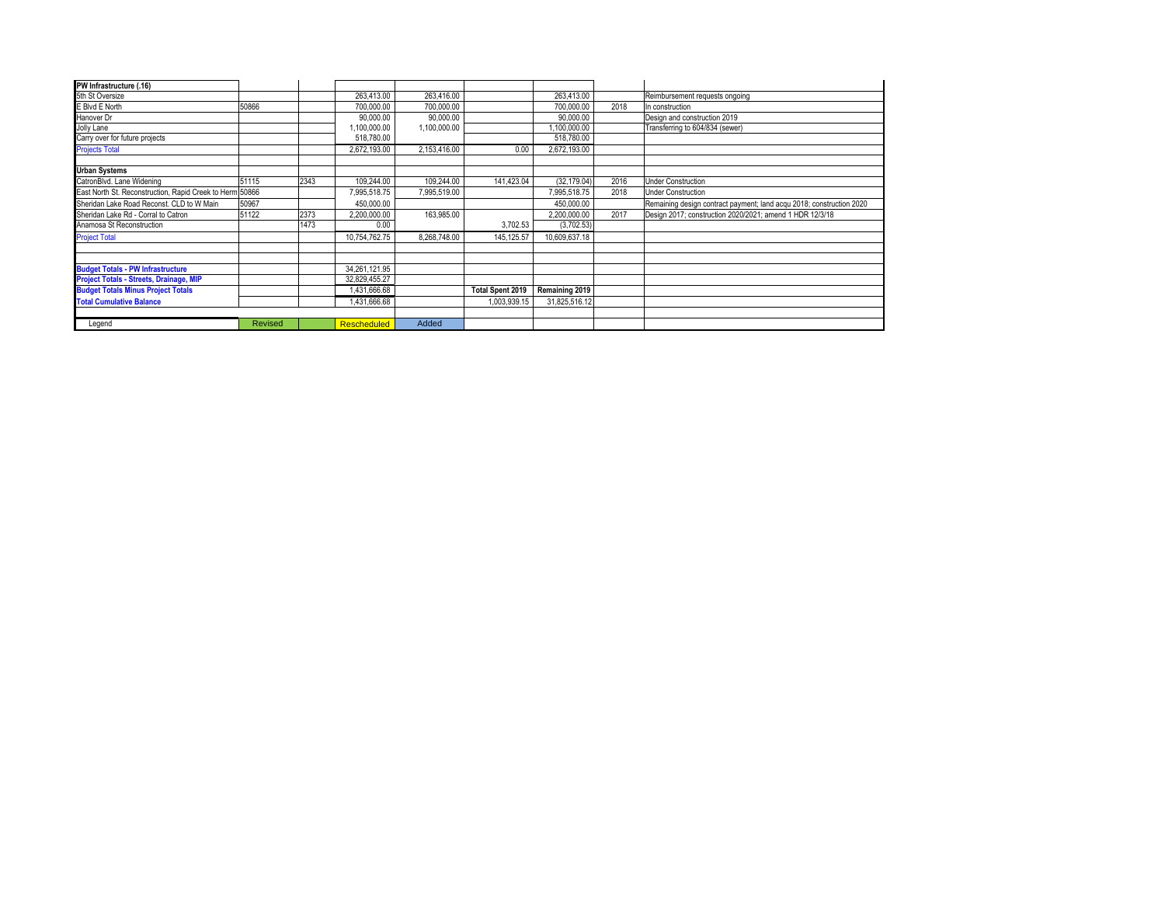|                                                          |      | 263.413.00    | 263,416.00                     |                         | 263.413.00    |      | Reimbursement requests ongoing                                       |
|----------------------------------------------------------|------|---------------|--------------------------------|-------------------------|---------------|------|----------------------------------------------------------------------|
| 50866                                                    |      | 700,000.00    | 700,000.00                     |                         | 700,000.00    | 2018 | In construction                                                      |
|                                                          |      | 90,000.00     | 90,000.00                      |                         | 90,000.00     |      | Design and construction 2019                                         |
|                                                          |      | 1,100,000.00  | 1,100,000.00                   |                         | ,100,000.00   |      | Transferring to 604/834 (sewer)                                      |
|                                                          |      | 518,780.00    |                                |                         | 518,780.00    |      |                                                                      |
|                                                          |      | 2,672,193.00  | 2,153,416.00                   | 0.00                    | 2,672,193.00  |      |                                                                      |
|                                                          |      |               |                                |                         |               |      |                                                                      |
| 51115                                                    | 2343 | 109,244.00    | 109.244.00                     | 141,423.04              |               | 2016 | <b>Under Construction</b>                                            |
| East North St. Reconstruction, Rapid Creek to Herm 50866 |      | 7,995,518.75  | 7,995,519.00                   |                         | 7.995.518.75  | 2018 | <b>Under Construction</b>                                            |
| 50967                                                    |      | 450.000.00    |                                |                         | 450,000.00    |      | Remaining design contract payment; land acqu 2018; construction 2020 |
| 51122                                                    | 2373 | 2,200,000.00  | 163,985.00                     |                         | 2,200,000.00  | 2017 | Design 2017; construction 2020/2021; amend 1 HDR 12/3/18             |
|                                                          | 1473 | 0.00          |                                | 3,702.53                |               |      |                                                                      |
|                                                          |      | 10,754,762.75 | 8.268.748.00                   | 145, 125.57             | 10,609,637.18 |      |                                                                      |
|                                                          |      |               |                                |                         |               |      |                                                                      |
|                                                          |      |               |                                |                         |               |      |                                                                      |
|                                                          |      |               |                                |                         |               |      |                                                                      |
|                                                          |      |               |                                |                         |               |      |                                                                      |
|                                                          |      | 1,431,666.68  |                                | <b>Total Spent 2019</b> |               |      |                                                                      |
|                                                          |      | 431,666.68    |                                | 1,003,939.15            |               |      |                                                                      |
|                                                          |      |               |                                |                         |               |      |                                                                      |
| Revised                                                  |      | Rescheduled   | Added                          |                         |               |      |                                                                      |
|                                                          |      |               | 34,261,121.95<br>32,829,455.27 |                         |               |      | (32, 179.04)<br>(3,702.53)<br>Remaining 2019<br>31,825,516.12        |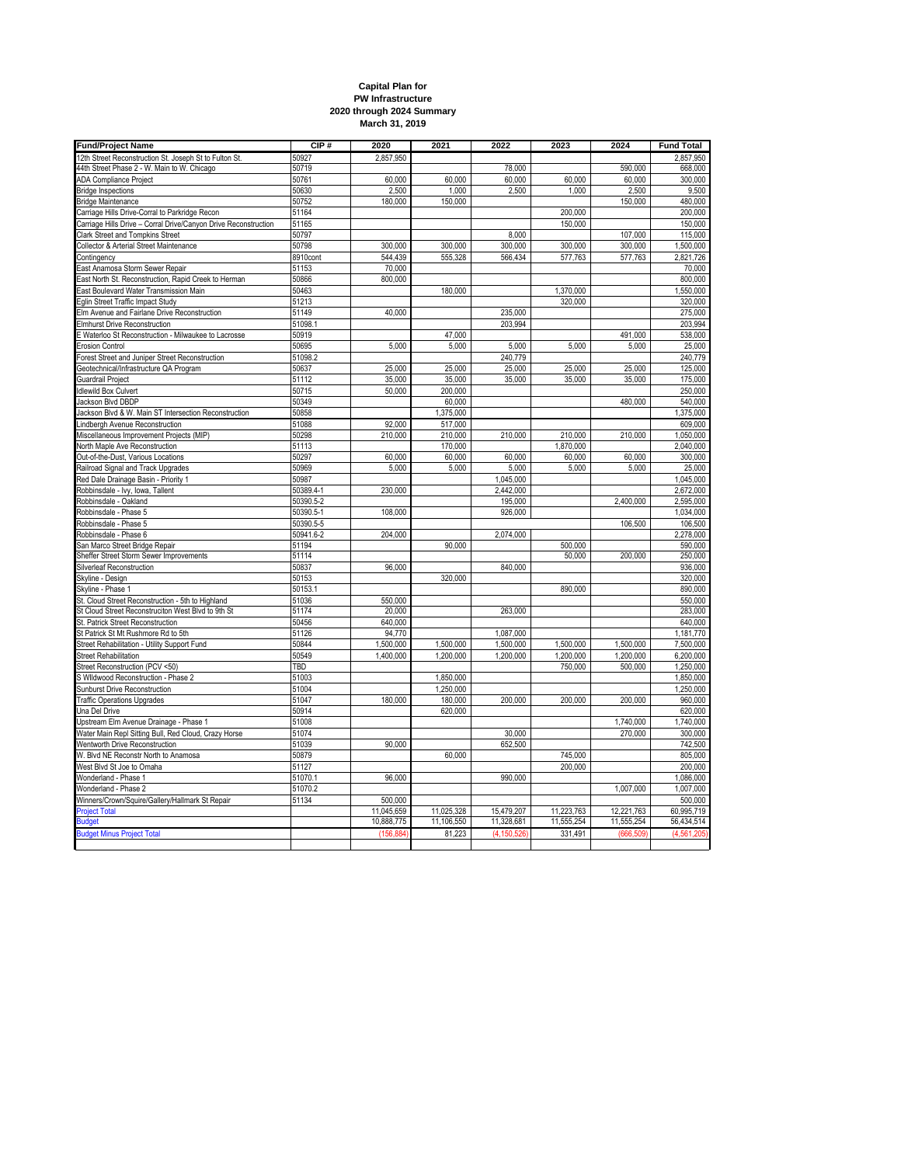| <b>Capital Plan for</b>   |  |  |  |  |  |  |  |
|---------------------------|--|--|--|--|--|--|--|
| <b>PW Infrastructure</b>  |  |  |  |  |  |  |  |
| 2020 through 2024 Summary |  |  |  |  |  |  |  |
| March 31, 2019            |  |  |  |  |  |  |  |

| <b>Fund/Project Name</b>                                                                                | CIP#           | 2020       | 2021       | 2022          | 2023       | 2024       | <b>Fund Total</b>    |
|---------------------------------------------------------------------------------------------------------|----------------|------------|------------|---------------|------------|------------|----------------------|
| 12th Street Reconstruction St. Joseph St to Fulton St.                                                  | 50927          | 2,857,950  |            |               |            |            | 2,857,950            |
| 44th Street Phase 2 - W. Main to W. Chicago                                                             | 50719          |            |            | 78,000        |            | 590,000    | 668,000              |
| <b>ADA Compliance Project</b>                                                                           | 50761          | 60.000     | 60.000     | 60,000        | 60,000     | 60,000     | 300,000              |
| <b>Bridge Inspections</b>                                                                               | 50630          | 2,500      | 1,000      | 2,500         | 1,000      | 2,500      | 9,500                |
| <b>Bridge Maintenance</b>                                                                               | 50752          | 180,000    | 150,000    |               |            | 150,000    | 480,000              |
| Carriage Hills Drive-Corral to Parkridge Recon                                                          | 51164          |            |            |               | 200,000    |            | 200,000              |
| Carriage Hills Drive - Corral Drive/Canyon Drive Reconstruction                                         | 51165          |            |            |               | 150,000    |            | 150,000              |
| Clark Street and Tompkins Street                                                                        | 50797          |            |            | 8,000         |            | 107,000    | 115,000              |
| Collector & Arterial Street Maintenance                                                                 | 50798          | 300,000    | 300,000    | 300,000       | 300,000    | 300,000    | 1,500,000            |
| Contingency                                                                                             | 8910cont       | 544.439    | 555.328    | 566.434       | 577,763    | 577,763    | 2.821.726            |
| East Anamosa Storm Sewer Repair                                                                         | 51153          | 70,000     |            |               |            |            | 70,000               |
| East North St. Reconstruction, Rapid Creek to Herman                                                    | 50866          | 800,000    |            |               |            |            | 800,000              |
| East Boulevard Water Transmission Main                                                                  | 50463          |            | 180,000    |               | 1,370,000  |            |                      |
| Eglin Street Traffic Impact Study                                                                       | 51213          |            |            |               | 320,000    |            | 1,550,000<br>320,000 |
|                                                                                                         | 51149          | 40,000     |            |               |            |            |                      |
| Elm Avenue and Fairlane Drive Reconstruction                                                            |                |            |            | 235,000       |            |            | 275,000              |
| Elmhurst Drive Reconstruction                                                                           | 51098.1        |            |            | 203.994       |            |            | 203,994              |
| E Waterloo St Reconstruction - Milwaukee to Lacrosse                                                    | 50919          |            | 47,000     |               |            | 491,000    | 538,000              |
| Erosion Control                                                                                         | 50695          | 5,000      | 5,000      | 5,000         | 5,000      | 5,000      | 25,000               |
| Forest Street and Juniper Street Reconstruction                                                         | 51098.2        |            |            | 240.779       |            |            | 240,779              |
| Geotechnical/Infrastructure QA Program                                                                  | 50637          | 25,000     | 25,000     | 25,000        | 25,000     | 25,000     | 125,000              |
| Guardrail Project                                                                                       | 51112          | 35,000     | 35,000     | 35,000        | 35,000     | 35,000     | 175,000              |
| <b>Idlewild Box Culvert</b>                                                                             | 50715          | 50,000     | 200,000    |               |            |            | 250,000              |
| Jackson Blvd DBDP                                                                                       | 50349          |            | 60,000     |               |            | 480,000    | 540,000              |
| Jackson Blvd & W. Main ST Intersection Reconstruction                                                   | 50858          |            | 1,375,000  |               |            |            | 1,375,000            |
| indbergh Avenue Reconstruction                                                                          | 51088          | 92,000     | 517,000    |               |            |            | 609,000              |
| Miscellaneous Improvement Projects (MIP)                                                                | 50298          | 210,000    | 210,000    | 210,000       | 210,000    | 210,000    | 1,050,000            |
| North Maple Ave Reconstruction                                                                          | 51113          |            | 170,000    |               | 1,870,000  |            | 2,040,000            |
| Out-of-the-Dust, Various Locations                                                                      | 50297          | 60,000     | 60,000     | 60,000        | 60,000     | 60,000     | 300,000              |
| Railroad Signal and Track Upgrades                                                                      | 50969          | 5,000      | 5,000      | 5,000         | 5,000      | 5,000      | 25,000               |
| Red Dale Drainage Basin - Priority 1                                                                    | 50987          |            |            | 1,045,000     |            |            | 1,045,000            |
| Robbinsdale - Ivy, Iowa, Tallent                                                                        | 50389.4-1      | 230,000    |            | 2,442,000     |            |            | 2,672,000            |
| Robbinsdale - Oakland                                                                                   | 50390.5-2      |            |            | 195,000       |            | 2,400,000  | 2,595,000            |
| Robbinsdale - Phase 5                                                                                   | 50390.5-1      | 108,000    |            | 926,000       |            |            | 1,034,000            |
| Robbinsdale - Phase 5                                                                                   | 50390.5-5      |            |            |               |            | 106,500    | 106,500              |
| Robbinsdale - Phase 6                                                                                   | 50941.6-2      | 204,000    |            | 2,074,000     |            |            | 2,278,000            |
| San Marco Street Bridge Repair                                                                          | 51194          |            | 90.000     |               | 500,000    |            | 590,000              |
| Sheffer Street Storm Sewer Improvements                                                                 | 51114          |            |            |               | 50,000     | 200,000    | 250,000              |
| Silverleaf Reconstruction                                                                               | 50837          | 96,000     |            | 840,000       |            |            | 936,000              |
| Skyline - Design                                                                                        | 50153          |            | 320,000    |               |            |            | 320,000              |
| Skyline - Phase 1                                                                                       | 50153.1        |            |            |               | 890,000    |            | 890,000              |
|                                                                                                         |                | 550,000    |            |               |            |            |                      |
| St. Cloud Street Reconstruction - 5th to Highland<br>St Cloud Street Reconstruciton West Blvd to 9th St | 51036<br>51174 | 20,000     |            | 263,000       |            |            | 550,000<br>283,000   |
|                                                                                                         |                |            |            |               |            |            |                      |
| St. Patrick Street Reconstruction                                                                       | 50456          | 640,000    |            |               |            |            | 640,000              |
| St Patrick St Mt Rushmore Rd to 5th                                                                     | 51126          | 94,770     |            | 1,087,000     |            |            | 1,181,770            |
| Street Rehabilitation - Utility Support Fund                                                            | 50844          | 1,500,000  | 1,500,000  | 1,500,000     | 1,500,000  | 1,500,000  | 7,500,000            |
| Street Rehabilitation                                                                                   | 50549          | 1,400,000  | 1,200,000  | 1,200,000     | 1,200,000  | 1,200,000  | 6,200,000            |
| Street Reconstruction (PCV <50)                                                                         | TBD            |            |            |               | 750,000    | 500,000    | 1,250,000            |
| S Wildwood Reconstruction - Phase 2                                                                     | 51003          |            | 1,850,000  |               |            |            | 1,850,000            |
| Sunburst Drive Reconstruction                                                                           | 51004          |            | 1,250,000  |               |            |            | 1,250,000            |
| <b>Traffic Operations Upgrades</b>                                                                      | 51047          | 180,000    | 180,000    | 200,000       | 200,000    | 200.000    | 960,000              |
| Una Del Drive                                                                                           | 50914          |            | 620,000    |               |            |            | 620,000              |
| Upstream Elm Avenue Drainage - Phase 1                                                                  | 51008          |            |            |               |            | 1,740,000  | 1,740,000            |
| Water Main Repl Sitting Bull, Red Cloud, Crazy Horse                                                    | 51074          |            |            | 30,000        |            | 270,000    | 300,000              |
| Wentworth Drive Reconstruction                                                                          | 51039          | 90,000     |            | 652,500       |            |            | 742,500              |
| W. Blvd NE Reconstr North to Anamosa                                                                    | 50879          |            | 60,000     |               | 745,000    |            | 805,000              |
| West Blvd St Joe to Omaha                                                                               | 51127          |            |            |               | 200,000    |            | 200,000              |
| Wonderland - Phase 1                                                                                    | 51070.1        | 96,000     |            | 990,000       |            |            | 1,086,000            |
| Wonderland - Phase 2                                                                                    | 51070.2        |            |            |               |            | 1,007,000  | 1,007,000            |
| Winners/Crown/Squire/Gallery/Hallmark St Repair                                                         | 51134          | 500,000    |            |               |            |            | 500,000              |
| <b>Project Total</b>                                                                                    |                | 11,045,659 | 11,025,328 | 15,479,207    | 11,223,763 | 12,221,763 | 60,995,719           |
| <b>Budget</b>                                                                                           |                | 10,888,775 | 11,106,550 | 11,328,681    | 11,555,254 | 11,555,254 | 56,434,514           |
| <b>Budget Minus Project Total</b>                                                                       |                | (156, 884) | 81,223     | (4, 150, 526) | 331,491    | (666, 509  | (4,561,205)          |
|                                                                                                         |                |            |            |               |            |            |                      |
|                                                                                                         |                |            |            |               |            |            |                      |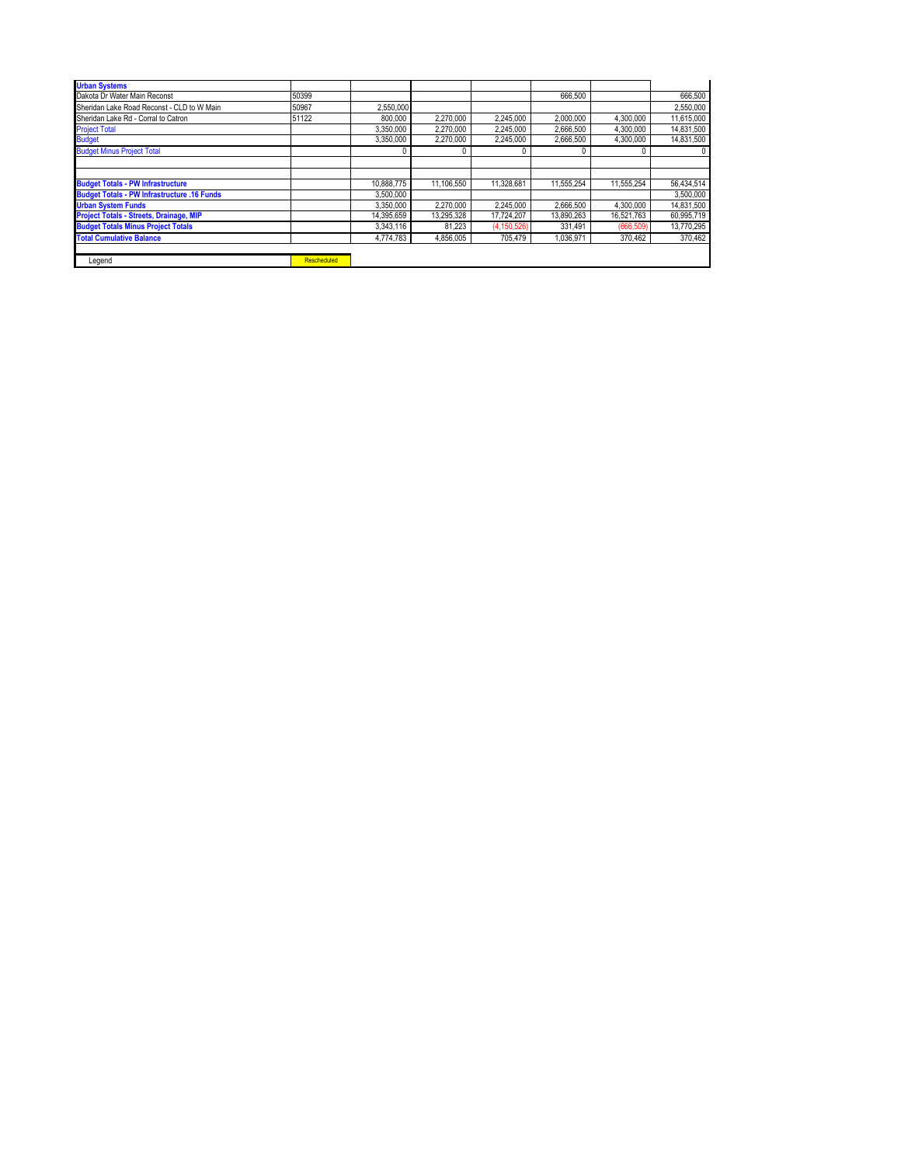| <b>Urban Systems</b>                               |                    |            |            |               |            |            |            |
|----------------------------------------------------|--------------------|------------|------------|---------------|------------|------------|------------|
| Dakota Dr Water Main Reconst                       | 50399              |            |            |               | 666.500    |            | 666,500    |
| Sheridan Lake Road Reconst - CLD to W Main         | 50967              | 2,550,000  |            |               |            |            | 2,550,000  |
| Sheridan Lake Rd - Corral to Catron                | 51122              | 800.000    | 2,270,000  | 2,245,000     | 2.000.000  | 4,300,000  | 11,615,000 |
| <b>Project Total</b>                               |                    | 3.350.000  | 2.270.000  | 2.245.000     | 2.666.500  | 4.300.000  | 14,831,500 |
| <b>Budget</b>                                      |                    | 3,350,000  | 2.270.000  | 2,245,000     | 2,666,500  | 4.300.000  | 14,831,500 |
| <b>Budget Minus Project Total</b>                  |                    | 0          | 0          |               |            |            |            |
|                                                    |                    |            |            |               |            |            |            |
|                                                    |                    |            |            |               |            |            |            |
| <b>Budget Totals - PW Infrastructure</b>           |                    | 10.888.775 | 11.106.550 | 11.328.681    | 11.555.254 | 11.555.254 | 56,434,514 |
| <b>Budget Totals - PW Infrastructure .16 Funds</b> |                    | 3.500.000  |            |               |            |            | 3,500,000  |
| <b>Urban System Funds</b>                          |                    | 3.350.000  | 2.270.000  | 2.245.000     | 2.666.500  | 4.300.000  | 14,831,500 |
| Project Totals - Streets, Drainage, MIP            |                    | 14,395,659 | 13.295.328 | 17,724,207    | 13.890.263 | 16,521,763 | 60,995,719 |
| <b>Budget Totals Minus Project Totals</b>          |                    | 3.343.116  | 81.223     | (4, 150, 526) | 331.491    | (666, 509) | 13,770,295 |
| <b>Total Cumulative Balance</b>                    |                    | 4.774.783  | 4,856,005  | 705.479       | 1.036.971  | 370.462    | 370.462    |
|                                                    |                    |            |            |               |            |            |            |
| Legend                                             | <b>Rescheduled</b> |            |            |               |            |            |            |